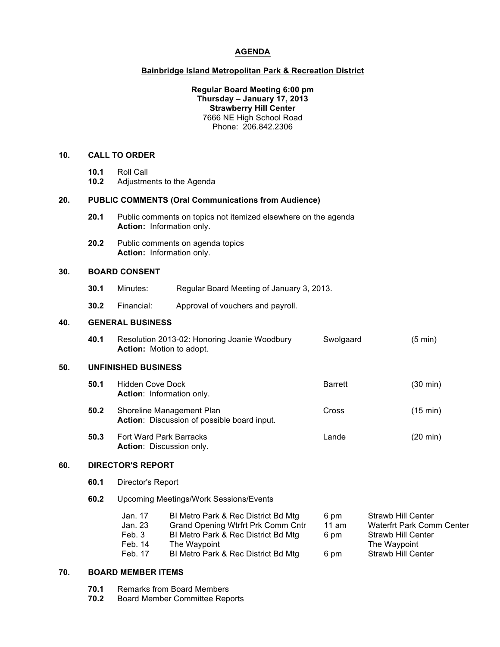# **AGENDA**

## **Bainbridge Island Metropolitan Park & Recreation District**

### **Regular Board Meeting 6:00 pm Thursday – January 17, 2013 Strawberry Hill Center** 7666 NE High School Road Phone: 206.842.2306

#### **10. CALL TO ORDER**

- **10.1** Roll Call
- **10.2** Adjustments to the Agenda

#### **20. PUBLIC COMMENTS (Oral Communications from Audience)**

- **20.1** Public comments on topics not itemized elsewhere on the agenda **Action:** Information only.
- **20.2** Public comments on agenda topics **Action:** Information only.

## **30. BOARD CONSENT**

- **30.1** Minutes: Regular Board Meeting of January 3, 2013.
- **30.2** Financial: Approval of vouchers and payroll.

#### **40. GENERAL BUSINESS**

| 40.1 | Resolution 2013-02: Honoring Joanie Woodbury | Swolgaard | $(5 \text{ min})$ |
|------|----------------------------------------------|-----------|-------------------|
|      | <b>Action:</b> Motion to adopt.              |           |                   |

#### **50. UNFINISHED BUSINESS**

- **50.1** Hidden Cove Dock **Barrett** Barrett (30 min) **Action**: Information only.
- **50.2** Shoreline Management Plan Cross Cross (15 min) **Action**: Discussion of possible board input.
- **50.3** Fort Ward Park Barracks **Lande** Lande (20 min) **Action**: Discussion only.

# **60. DIRECTOR'S REPORT**

- **60.1** Director's Report
- **60.2** Upcoming Meetings/Work Sessions/Events

| Jan. 17 | BI Metro Park & Rec District Bd Mtg | 6 pm  | <b>Strawb Hill Center</b>        |
|---------|-------------------------------------|-------|----------------------------------|
| Jan. 23 | Grand Opening Wtrfrt Prk Comm Cntr  | 11 am | <b>Waterfrt Park Comm Center</b> |
| Feb. 3  | BI Metro Park & Rec District Bd Mtg | 6 pm  | <b>Strawb Hill Center</b>        |
| Feb. 14 | The Waypoint                        |       | The Waypoint                     |
| Feb. 17 | BI Metro Park & Rec District Bd Mtg | 6 pm  | <b>Strawb Hill Center</b>        |

## **70. BOARD MEMBER ITEMS**

- **70.1** Remarks from Board Members
- **70.2** Board Member Committee Reports